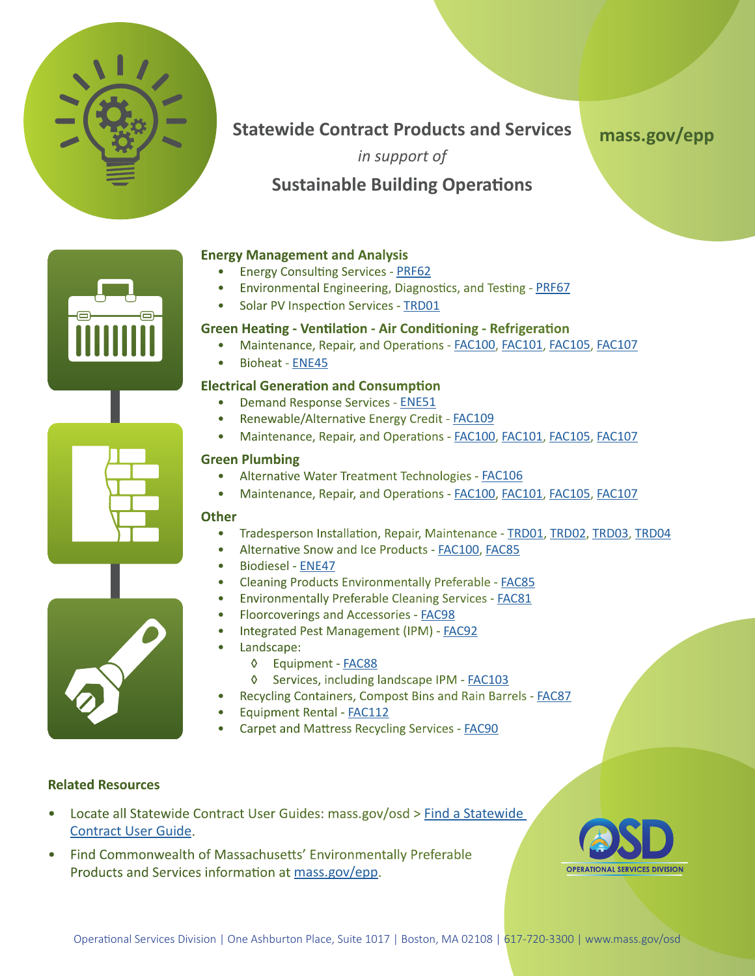

# **Statewide Contract Products and Services**

**[mass.gov/epp](https://www.mass.gov/environmentally-preferable-products-epp-procurement-programs)**

*in support of*

# **Sustainable Building Operations**

## **Energy Management and Analysis**

- Energy Consulting Services [PRF62](https://www.mass.gov/doc/prf62designated-doer/download)
- Environmental Engineering, Diagnostics, and Testing [PRF67](https://www.mass.gov/doc/prf67designateddcamm/download)
- Solar PV Inspection Services [TRD01](https://www.mass.gov/doc/trd01/download)

### **Green Heating - Ventilation - Air Conditioning - Refrigeration**

- Maintenance, Repair, and Operations - [FAC100,](https://www.mass.gov/doc/fac100/download) [FAC101](https://www.mass.gov/doc/fac101/download), [FAC105,](https://www.mass.gov/doc/fac105/download) [FAC107](https://www.mass.gov/doc/fac107/download)
- Bioheat - [ENE45](https://www.mass.gov/doc/ene45/download)

## **Electrical Generation and Consumption**

- Demand Response Services [ENE51](https://www.mass.gov/doc/ene51designateddcamm/download)
- Renewable/Alternative Energy Credit [FAC109](https://www.mass.gov/doc/fac109designateddcamm/download)
- Maintenance, Repair, and Operations - [FAC100,](https://www.mass.gov/doc/fac100/download) [FAC101](https://www.mass.gov/doc/fac101/download), [FAC105,](https://www.mass.gov/doc/fac105/download) [FAC107](https://www.mass.gov/doc/fac107/download)

### **Green Plumbing**

- Alternative Water Treatment Technologies [FAC106](https://www.mass.gov/doc/fac106/download)
- Maintenance, Repair, and Operations - [FAC100,](https://www.mass.gov/doc/fac100/download) [FAC101](https://www.mass.gov/doc/fac101/download), [FAC105,](https://www.mass.gov/doc/fac105/download) [FAC107](https://www.mass.gov/doc/fac107/download)

#### **Other**

- Tradesperson Installation, Repair, Maintenance [TRD01,](https://www.mass.gov/doc/trd01/download) [TRD02](https://www.mass.gov/doc/trd02/download), [TRD03,](https://www.mass.gov/doc/trd03/download) [TRD04](https://www.mass.gov/doc/trd04/download)
- Alternative Snow and Ice Products - [FAC100,](https://www.mass.gov/doc/fac100/download) [FAC85](https://www.mass.gov/doc/fac85/download)
- Biodiesel [ENE47](https://www.mass.gov/doc/ene47/download)
- Cleaning Products Environmentally Preferable **FAC85**
- Environmentally Preferable Cleaning Services - [FAC81](https://www.mass.gov/doc/fac81/download)
- Floorcoverings and Accessories - [FAC98](https://www.mass.gov/doc/fac98/download)
- Integrated Pest Management (IPM) [FAC92](https://www.mass.gov/doc/fac92/download)
- Landscape:
	- ◊ Equipment [FAC88](https://www.mass.gov/doc/fac88/download)
	- ◊ Services, including landscape IPM - [FAC103](https://www.mass.gov/doc/fac103/download)
- Recycling Containers, Compost Bins and Rain Barrels [FAC87](https://www.mass.gov/doc/fac87designateddep/download)
- Equipment Rental - [FAC112](https://www.mass.gov/doc/fac112/download)
- Carpet and Mattress Recycling Services [FAC90](https://www.mass.gov/doc/fac90designateddep/download)

### **Related Resources**

- Locate all Statewide Contract User Guides: mass.gov/osd > [Find a Statewide](https://www.mass.gov/service-details/find-a-statewide-contract-user-guide)  [Contract User Guide](https://www.mass.gov/service-details/find-a-statewide-contract-user-guide).
- Find Commonwealth of Massachusetts' [Environmentally Preferable](http://www.mass.gov/anf/budget-taxes-and-procurement/procurement-info-and-res/procurement-prog-and-serv/epp-procurement-prog/green-products-and-serv/specific-epp-statewide-contracts/)  [Products and Services i](http://www.mass.gov/anf/budget-taxes-and-procurement/procurement-info-and-res/procurement-prog-and-serv/epp-procurement-prog/green-products-and-serv/specific-epp-statewide-contracts/)nformation at [mass.gov/epp.](https://www.mass.gov/environmentally-preferable-products-epp-procurement-programs)